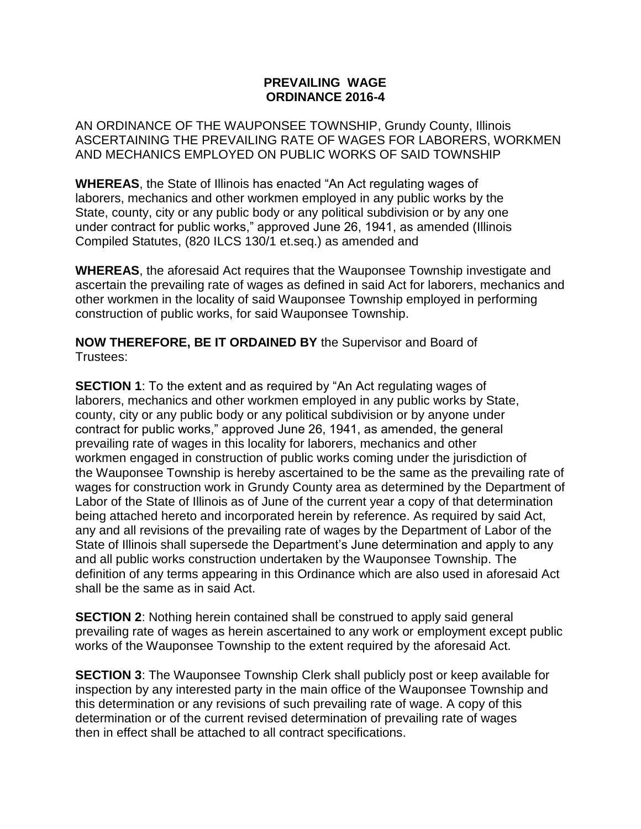## **PREVAILING WAGE ORDINANCE 2016-4**

AN ORDINANCE OF THE WAUPONSEE TOWNSHIP, Grundy County, Illinois ASCERTAINING THE PREVAILING RATE OF WAGES FOR LABORERS, WORKMEN AND MECHANICS EMPLOYED ON PUBLIC WORKS OF SAID TOWNSHIP

**WHEREAS**, the State of Illinois has enacted "An Act regulating wages of laborers, mechanics and other workmen employed in any public works by the State, county, city or any public body or any political subdivision or by any one under contract for public works," approved June 26, 1941, as amended (Illinois Compiled Statutes, (820 ILCS 130/1 et.seq.) as amended and

**WHEREAS**, the aforesaid Act requires that the Wauponsee Township investigate and ascertain the prevailing rate of wages as defined in said Act for laborers, mechanics and other workmen in the locality of said Wauponsee Township employed in performing construction of public works, for said Wauponsee Township.

**NOW THEREFORE, BE IT ORDAINED BY** the Supervisor and Board of Trustees:

**SECTION 1:** To the extent and as required by "An Act regulating wages of laborers, mechanics and other workmen employed in any public works by State, county, city or any public body or any political subdivision or by anyone under contract for public works," approved June 26, 1941, as amended, the general prevailing rate of wages in this locality for laborers, mechanics and other workmen engaged in construction of public works coming under the jurisdiction of the Wauponsee Township is hereby ascertained to be the same as the prevailing rate of wages for construction work in Grundy County area as determined by the Department of Labor of the State of Illinois as of June of the current year a copy of that determination being attached hereto and incorporated herein by reference. As required by said Act, any and all revisions of the prevailing rate of wages by the Department of Labor of the State of Illinois shall supersede the Department's June determination and apply to any and all public works construction undertaken by the Wauponsee Township. The definition of any terms appearing in this Ordinance which are also used in aforesaid Act shall be the same as in said Act.

**SECTION 2:** Nothing herein contained shall be construed to apply said general prevailing rate of wages as herein ascertained to any work or employment except public works of the Wauponsee Township to the extent required by the aforesaid Act.

**SECTION 3**: The Wauponsee Township Clerk shall publicly post or keep available for inspection by any interested party in the main office of the Wauponsee Township and this determination or any revisions of such prevailing rate of wage. A copy of this determination or of the current revised determination of prevailing rate of wages then in effect shall be attached to all contract specifications.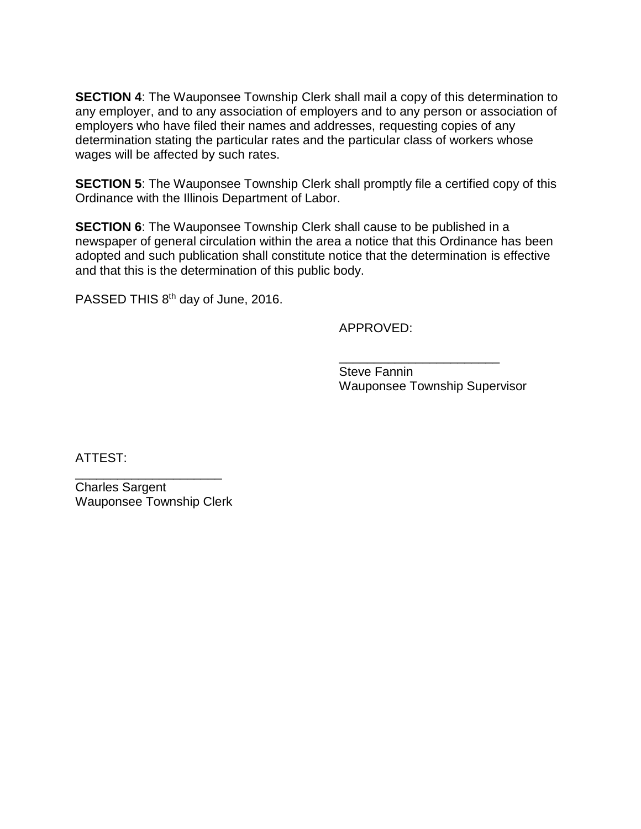**SECTION 4:** The Wauponsee Township Clerk shall mail a copy of this determination to any employer, and to any association of employers and to any person or association of employers who have filed their names and addresses, requesting copies of any determination stating the particular rates and the particular class of workers whose wages will be affected by such rates.

**SECTION 5:** The Wauponsee Township Clerk shall promptly file a certified copy of this Ordinance with the Illinois Department of Labor.

**SECTION 6:** The Wauponsee Township Clerk shall cause to be published in a newspaper of general circulation within the area a notice that this Ordinance has been adopted and such publication shall constitute notice that the determination is effective and that this is the determination of this public body.

PASSED THIS 8<sup>th</sup> day of June, 2016.

APPROVED:

\_\_\_\_\_\_\_\_\_\_\_\_\_\_\_\_\_\_\_\_\_\_\_ Steve Fannin Wauponsee Township Supervisor

ATTEST:

Charles Sargent Wauponsee Township Clerk

\_\_\_\_\_\_\_\_\_\_\_\_\_\_\_\_\_\_\_\_\_